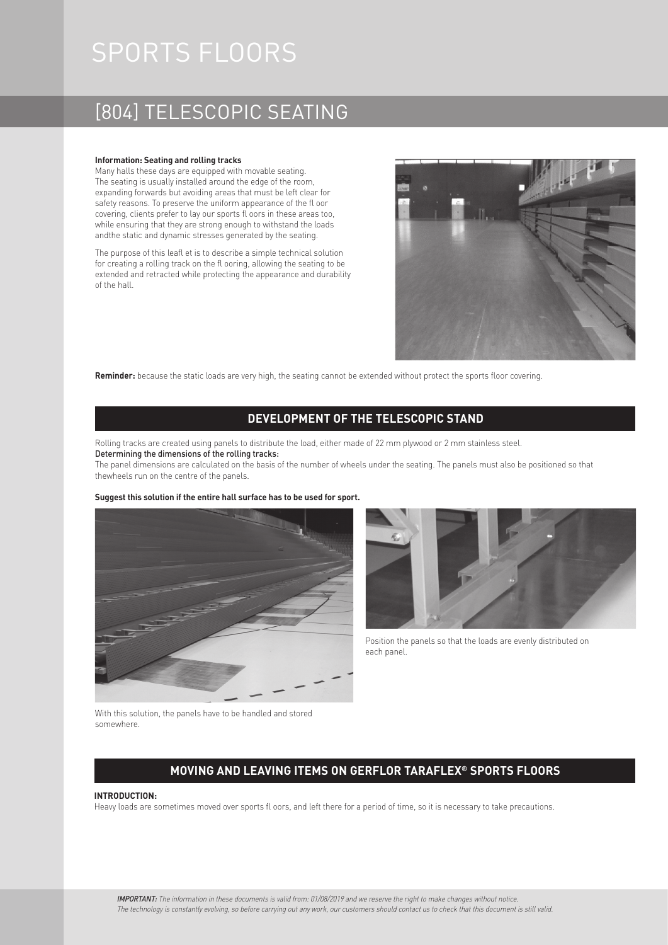# SPORTS FLOORS

### [804] TELESCOPIC SEATING

#### **Information: Seating and rolling tracks**

Many halls these days are equipped with movable seating. The seating is usually installed around the edge of the room, expanding forwards but avoiding areas that must be left clear for safety reasons. To preserve the uniform appearance of the fl oor covering, clients prefer to lay our sports fl oors in these areas too, while ensuring that they are strong enough to withstand the loads andthe static and dynamic stresses generated by the seating.

The purpose of this leafl et is to describe a simple technical solution for creating a rolling track on the fl ooring, allowing the seating to be extended and retracted while protecting the appearance and durability of the hall.



**Reminder:** because the static loads are very high, the seating cannot be extended without protect the sports floor covering.

### **DEVELOPMENT OF THE TELESCOPIC STAND**

Rolling tracks are created using panels to distribute the load, either made of 22 mm plywood or 2 mm stainless steel. Determining the dimensions of the rolling tracks:

The panel dimensions are calculated on the basis of the number of wheels under the seating. The panels must also be positioned so that thewheels run on the centre of the panels.

#### **Suggest this solution if the entire hall surface has to be used for sport.**





Position the panels so that the loads are evenly distributed on each panel.

With this solution, the panels have to be handled and stored somewhere.

### **MOVING AND LEAVING ITEMS ON GERFLOR TARAFLEX® SPORTS FLOORS**

#### **INTRODUCTION:**

Heavy loads are sometimes moved over sports fl oors, and left there for a period of time, so it is necessary to take precautions.